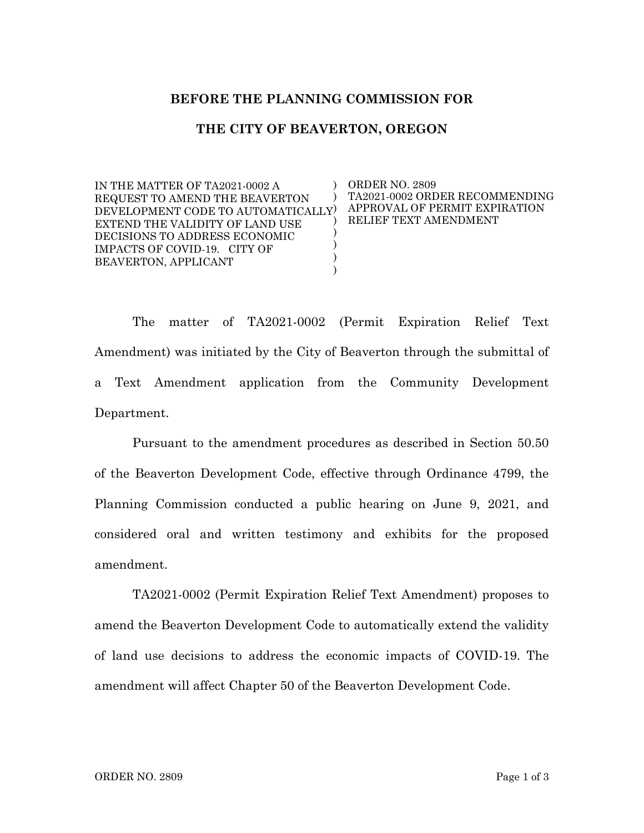## **BEFORE THE PLANNING COMMISSION FOR**

## **THE CITY OF BEAVERTON, OREGON**

IN THE MATTER OF TA2021-0002 A REQUEST TO AMEND THE BEAVERTON DEVELOPMENT CODE TO AUTOMATICALLY EXTEND THE VALIDITY OF LAND USE DECISIONS TO ADDRESS ECONOMIC IMPACTS OF COVID-19. CITY OF BEAVERTON, APPLICANT ) ) ) ) ) ) ) ORDER NO. 2809 TA2021-0002 ORDER RECOMMENDING APPROVAL OF PERMIT EXPIRATION RELIEF TEXT AMENDMENT

The matter of TA2021-0002 (Permit Expiration Relief Text Amendment) was initiated by the City of Beaverton through the submittal of a Text Amendment application from the Community Development Department.

Pursuant to the amendment procedures as described in Section 50.50 of the Beaverton Development Code, effective through Ordinance 4799, the Planning Commission conducted a public hearing on June 9, 2021, and considered oral and written testimony and exhibits for the proposed amendment.

TA2021-0002 (Permit Expiration Relief Text Amendment) proposes to amend the Beaverton Development Code to automatically extend the validity of land use decisions to address the economic impacts of COVID-19. The amendment will affect Chapter 50 of the Beaverton Development Code.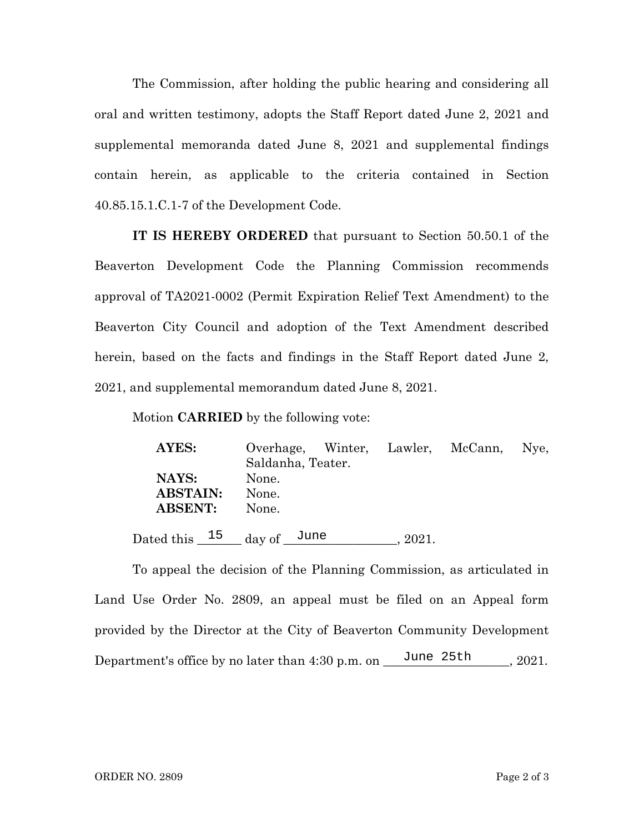The Commission, after holding the public hearing and considering all oral and written testimony, adopts the Staff Report dated June 2, 2021 and supplemental memoranda dated June 8, 2021 and supplemental findings contain herein, as applicable to the criteria contained in Section 40.85.15.1.C.1-7 of the Development Code.

**IT IS HEREBY ORDERED** that pursuant to Section 50.50.1 of the Beaverton Development Code the Planning Commission recommends approval of TA2021-0002 (Permit Expiration Relief Text Amendment) to the Beaverton City Council and adoption of the Text Amendment described herein, based on the facts and findings in the Staff Report dated June 2, 2021, and supplemental memorandum dated June 8, 2021.

Motion **CARRIED** by the following vote:

| AYES:           |                             |                   |       | Overhage, Winter, Lawler, McCann, Nye, |  |  |
|-----------------|-----------------------------|-------------------|-------|----------------------------------------|--|--|
|                 |                             | Saldanha, Teater. |       |                                        |  |  |
| NAYS:           | None.                       |                   |       |                                        |  |  |
| <b>ABSTAIN:</b> | None.                       |                   |       |                                        |  |  |
| <b>ABSENT:</b>  | None.                       |                   |       |                                        |  |  |
|                 | Dated this $15$ day of June |                   | 2021. |                                        |  |  |

To appeal the decision of the Planning Commission, as articulated in Land Use Order No. 2809, an appeal must be filed on an Appeal form provided by the Director at the City of Beaverton Community Development Department's office by no later than  $4:30$  p.m. on  $\frac{\text{June } 25 \text{th}}{ \text{rule }} 251$ , 2021.